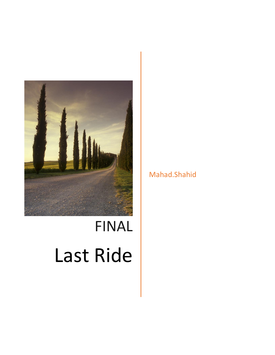

# FINAL Last Ride

Mahad.Shahid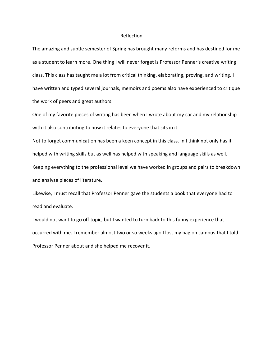#### Reflection

The amazing and subtle semester of Spring has brought many reforms and has destined for me as a student to learn more. One thing I will never forget is Professor Penner's creative writing class. This class has taught me a lot from critical thinking, elaborating, proving, and writing. I have written and typed several journals, memoirs and poems also have experienced to critique the work of peers and great authors.

One of my favorite pieces of writing has been when I wrote about my car and my relationship with it also contributing to how it relates to everyone that sits in it.

Not to forget communication has been a keen concept in this class. In I think not only has it helped with writing skills but as well has helped with speaking and language skills as well. Keeping everything to the professional level we have worked in groups and pairs to breakdown and analyze pieces of literature.

Likewise, I must recall that Professor Penner gave the students a book that everyone had to read and evaluate.

I would not want to go off topic, but I wanted to turn back to this funny experience that occurred with me. I remember almost two or so weeks ago I lost my bag on campus that I told Professor Penner about and she helped me recover it.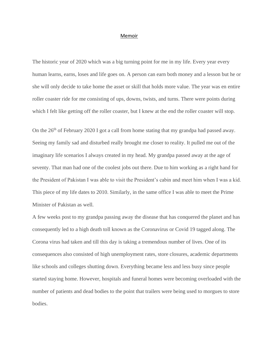#### Memoir

The historic year of 2020 which was a big turning point for me in my life. Every year every human learns, earns, loses and life goes on. A person can earn both money and a lesson but he or she will only decide to take home the asset or skill that holds more value. The year was en entire roller coaster ride for me consisting of ups, downs, twists, and turns. There were points during which I felt like getting off the roller coaster, but I knew at the end the roller coaster will stop.

On the 26<sup>th</sup> of February 2020 I got a call from home stating that my grandpa had passed away. Seeing my family sad and disturbed really brought me closer to reality. It pulled me out of the imaginary life scenarios I always created in my head. My grandpa passed away at the age of seventy. That man had one of the coolest jobs out there. Due to him working as a right hand for the President of Pakistan I was able to visit the President's cabin and meet him when I was a kid. This piece of my life dates to 2010. Similarly, in the same office I was able to meet the Prime Minister of Pakistan as well.

A few weeks post to my grandpa passing away the disease that has conquered the planet and has consequently led to a high death toll known as the Coronavirus or Covid 19 tagged along. The Corona virus had taken and till this day is taking a tremendous number of lives. One of its consequences also consisted of high unemployment rates, store closures, academic departments like schools and colleges shutting down. Everything became less and less busy since people started staying home. However, hospitals and funeral homes were becoming overloaded with the number of patients and dead bodies to the point that trailers were being used to morgues to store bodies.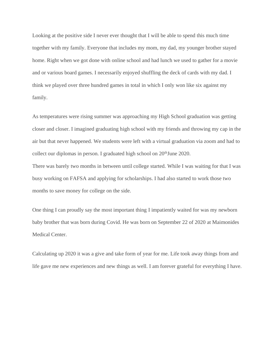Looking at the positive side I never ever thought that I will be able to spend this much time together with my family. Everyone that includes my mom, my dad, my younger brother stayed home. Right when we got done with online school and had lunch we used to gather for a movie and or various board games. I necessarily enjoyed shuffling the deck of cards with my dad. I think we played over three hundred games in total in which I only won like six against my family.

As temperatures were rising summer was approaching my High School graduation was getting closer and closer. I imagined graduating high school with my friends and throwing my cap in the air but that never happened. We students were left with a virtual graduation via zoom and had to collect our diplomas in person. I graduated high school on  $20<sup>th</sup>$ June 2020.

There was barely two months in between until college started. While I was waiting for that I was busy working on FAFSA and applying for scholarships. I had also started to work those two months to save money for college on the side.

One thing I can proudly say the most important thing I impatiently waited for was my newborn baby brother that was born during Covid. He was born on September 22 of 2020 at Maimonides Medical Center.

Calculating up 2020 it was a give and take form of year for me. Life took away things from and life gave me new experiences and new things as well. I am forever grateful for everything I have.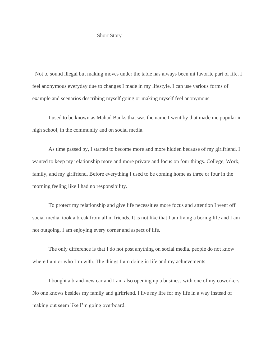### Short Story

 Not to sound illegal but making moves under the table has always been mt favorite part of life. I feel anonymous everyday due to changes I made in my lifestyle. I can use various forms of example and scenarios describing myself going or making myself feel anonymous.

 I used to be known as Mahad Banks that was the name I went by that made me popular in high school, in the community and on social media.

 As time passed by, I started to become more and more hidden because of my girlfriend. I wanted to keep my relationship more and more private and focus on four things. College, Work, family, and my girlfriend. Before everything I used to be coming home as three or four in the morning feeling like I had no responsibility.

 To protect my relationship and give life necessities more focus and attention I went off social media, took a break from all m friends. It is not like that I am living a boring life and I am not outgoing. I am enjoying every corner and aspect of life.

 The only difference is that I do not post anything on social media, people do not know where I am or who I'm with. The things I am doing in life and my achievements.

 I bought a brand-new car and I am also opening up a business with one of my coworkers. No one knows besides my family and girlfriend. I live my life for my life in a way instead of making out seem like I'm going overboard.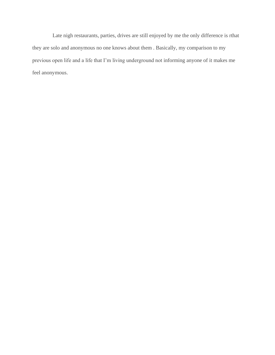Late nigh restaurants, parties, drives are still enjoyed by me the only difference is rthat they are solo and anonymous no one knows about them . Basically, my comparison to my previous open life and a life that I'm living underground not informing anyone of it makes me feel anonymous.